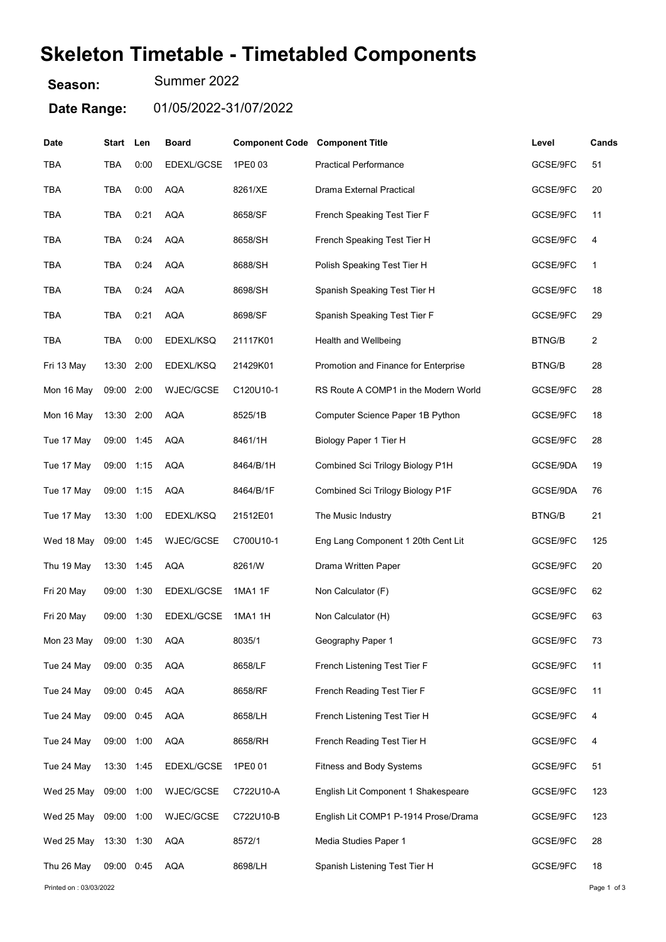## Skeleton Timetable - Timetabled Components

Season: Summer 2022

Date Range: 01/05/2022-31/07/2022

| Date                   | Start Len  |      | <b>Board</b>     | <b>Component Code Component Title</b> |                                      | Level         | Cands       |
|------------------------|------------|------|------------------|---------------------------------------|--------------------------------------|---------------|-------------|
| TBA                    | TBA        | 0:00 | EDEXL/GCSE       | 1PE0 03                               | <b>Practical Performance</b>         | GCSE/9FC      | 51          |
| TBA                    | TBA        | 0:00 | <b>AQA</b>       | 8261/XE                               | Drama External Practical             | GCSE/9FC      | 20          |
| TBA                    | TBA        | 0:21 | <b>AQA</b>       | 8658/SF                               | French Speaking Test Tier F          | GCSE/9FC      | 11          |
| TBA                    | TBA        | 0:24 | <b>AQA</b>       | 8658/SH                               | French Speaking Test Tier H          | GCSE/9FC      | 4           |
| <b>TBA</b>             | TBA        | 0:24 | AQA              | 8688/SH                               | Polish Speaking Test Tier H          | GCSE/9FC      | 1           |
| TBA                    | TBA        | 0:24 | <b>AQA</b>       | 8698/SH                               | Spanish Speaking Test Tier H         | GCSE/9FC      | 18          |
| <b>TBA</b>             | TBA        | 0:21 | <b>AQA</b>       | 8698/SF                               | Spanish Speaking Test Tier F         | GCSE/9FC      | 29          |
| TBA                    | TBA        | 0:00 | EDEXL/KSQ        | 21117K01                              | Health and Wellbeing                 | <b>BTNG/B</b> | 2           |
| Fri 13 May             | 13:30      | 2:00 | EDEXL/KSQ        | 21429K01                              | Promotion and Finance for Enterprise | <b>BTNG/B</b> | 28          |
| Mon 16 May             | 09:00      | 2:00 | WJEC/GCSE        | C120U10-1                             | RS Route A COMP1 in the Modern World | GCSE/9FC      | 28          |
| Mon 16 May             | 13:30      | 2:00 | <b>AQA</b>       | 8525/1B                               | Computer Science Paper 1B Python     | GCSE/9FC      | 18          |
| Tue 17 May             | 09:00 1:45 |      | AQA              | 8461/1H                               | Biology Paper 1 Tier H               | GCSE/9FC      | 28          |
| Tue 17 May             | 09:00 1:15 |      | AQA              | 8464/B/1H                             | Combined Sci Trilogy Biology P1H     | GCSE/9DA      | 19          |
| Tue 17 May             | 09:00 1:15 |      | <b>AQA</b>       | 8464/B/1F                             | Combined Sci Trilogy Biology P1F     | GCSE/9DA      | 76          |
| Tue 17 May             | 13:30      | 1:00 | EDEXL/KSQ        | 21512E01                              | The Music Industry                   | <b>BTNG/B</b> | 21          |
| Wed 18 May             | 09:00 1:45 |      | <b>WJEC/GCSE</b> | C700U10-1                             | Eng Lang Component 1 20th Cent Lit   | GCSE/9FC      | 125         |
| Thu 19 May             | 13:30 1:45 |      | <b>AQA</b>       | 8261/W                                | Drama Written Paper                  | GCSE/9FC      | 20          |
| Fri 20 May             | 09:00      | 1:30 | EDEXL/GCSE       | 1MA1 1F                               | Non Calculator (F)                   | GCSE/9FC      | 62          |
| Fri 20 May             | 09:00      | 1:30 | EDEXL/GCSE       | 1MA1 1H                               | Non Calculator (H)                   | GCSE/9FC      | 63          |
| Mon 23 May             | 09:00 1:30 |      | AQA              | 8035/1                                | Geography Paper 1                    | GCSE/9FC      | 73          |
| Tue 24 May             | 09:00 0:35 |      | <b>AQA</b>       | 8658/LF                               | French Listening Test Tier F         | GCSE/9FC      | 11          |
| Tue 24 May             | 09:00 0:45 |      | <b>AQA</b>       | 8658/RF                               | French Reading Test Tier F           | GCSE/9FC      | 11          |
| Tue 24 May             | 09:00 0:45 |      | <b>AQA</b>       | 8658/LH                               | French Listening Test Tier H         | GCSE/9FC      | 4           |
| Tue 24 May             | 09:00 1:00 |      | <b>AQA</b>       | 8658/RH                               | French Reading Test Tier H           | GCSE/9FC      | 4           |
| Tue 24 May             | 13:30 1:45 |      | EDEXL/GCSE       | 1PE0 01                               | <b>Fitness and Body Systems</b>      | GCSE/9FC      | 51          |
| Wed 25 May             | 09:00 1:00 |      | WJEC/GCSE        | C722U10-A                             | English Lit Component 1 Shakespeare  | GCSE/9FC      | 123         |
| Wed 25 May             | 09:00 1:00 |      | WJEC/GCSE        | C722U10-B                             | English Lit COMP1 P-1914 Prose/Drama | GCSE/9FC      | 123         |
| Wed 25 May             | 13:30 1:30 |      | <b>AQA</b>       | 8572/1                                | Media Studies Paper 1                | GCSE/9FC      | 28          |
| Thu 26 May             | 09:00 0:45 |      | <b>AQA</b>       | 8698/LH                               | Spanish Listening Test Tier H        | GCSE/9FC      | 18          |
| Printed on: 03/03/2022 |            |      |                  |                                       |                                      |               | Page 1 of 3 |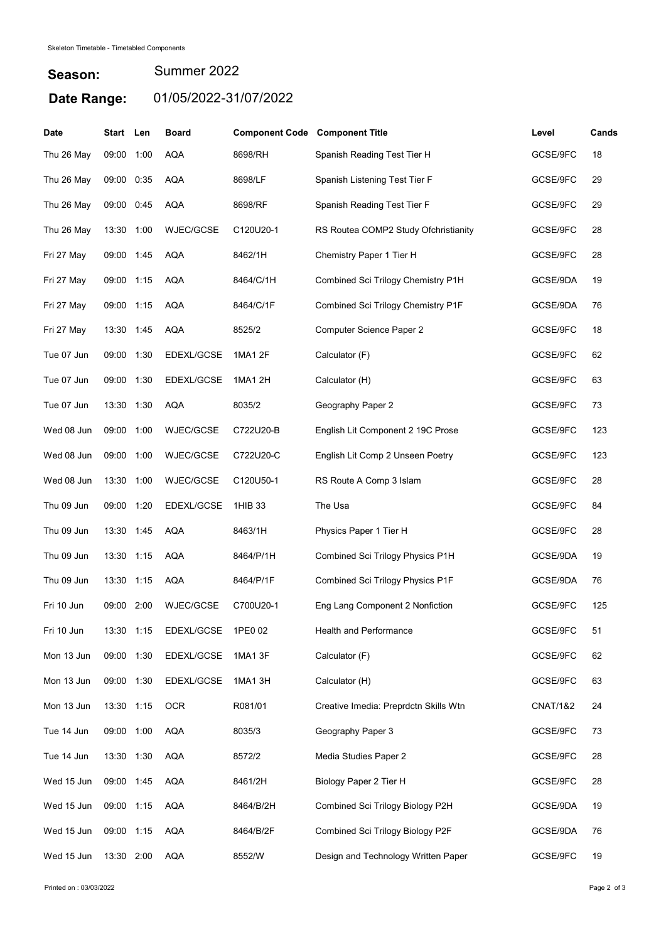## Season: Date Range: 01/05/2022-31/07/2022 Summer 2022

| <b>Date</b> | Start Len  |      | <b>Board</b>     | <b>Component Code Component Title</b> |                                       | Level               | Cands |
|-------------|------------|------|------------------|---------------------------------------|---------------------------------------|---------------------|-------|
| Thu 26 May  | 09:00      | 1:00 | <b>AQA</b>       | 8698/RH                               | Spanish Reading Test Tier H           | GCSE/9FC            | 18    |
| Thu 26 May  | 09:00      | 0:35 | <b>AQA</b>       | 8698/LF                               | Spanish Listening Test Tier F         | GCSE/9FC            | 29    |
| Thu 26 May  | 09:00      | 0:45 | <b>AQA</b>       | 8698/RF                               | Spanish Reading Test Tier F           | GCSE/9FC            | 29    |
| Thu 26 May  | 13:30      | 1:00 | <b>WJEC/GCSE</b> | C120U20-1                             | RS Routea COMP2 Study Ofchristianity  | GCSE/9FC            | 28    |
| Fri 27 May  | 09:00 1:45 |      | <b>AQA</b>       | 8462/1H                               | Chemistry Paper 1 Tier H              | GCSE/9FC            | 28    |
| Fri 27 May  | 09:00 1:15 |      | <b>AQA</b>       | 8464/C/1H                             | Combined Sci Trilogy Chemistry P1H    | GCSE/9DA            | 19    |
| Fri 27 May  | 09:00 1:15 |      | <b>AQA</b>       | 8464/C/1F                             | Combined Sci Trilogy Chemistry P1F    | GCSE/9DA            | 76    |
| Fri 27 May  | 13:30      | 1:45 | <b>AQA</b>       | 8525/2                                | <b>Computer Science Paper 2</b>       | GCSE/9FC            | 18    |
| Tue 07 Jun  | 09:00 1:30 |      | EDEXL/GCSE       | 1MA1 2F                               | Calculator (F)                        | GCSE/9FC            | 62    |
| Tue 07 Jun  | 09:00      | 1:30 | EDEXL/GCSE       | 1MA1 2H                               | Calculator (H)                        | GCSE/9FC            | 63    |
| Tue 07 Jun  | 13:30      | 1:30 | AQA              | 8035/2                                | Geography Paper 2                     | GCSE/9FC            | 73    |
| Wed 08 Jun  | 09:00      | 1:00 | <b>WJEC/GCSE</b> | C722U20-B                             | English Lit Component 2 19C Prose     | GCSE/9FC            | 123   |
| Wed 08 Jun  | 09:00 1:00 |      | WJEC/GCSE        | C722U20-C                             | English Lit Comp 2 Unseen Poetry      | GCSE/9FC            | 123   |
| Wed 08 Jun  | 13:30      | 1:00 | WJEC/GCSE        | C120U50-1                             | RS Route A Comp 3 Islam               | GCSE/9FC            | 28    |
| Thu 09 Jun  | 09:00      | 1:20 | EDEXL/GCSE       | 1HIB 33                               | The Usa                               | GCSE/9FC            | 84    |
| Thu 09 Jun  | 13:30 1:45 |      | <b>AQA</b>       | 8463/1H                               | Physics Paper 1 Tier H                | GCSE/9FC            | 28    |
| Thu 09 Jun  | 13:30 1:15 |      | <b>AQA</b>       | 8464/P/1H                             | Combined Sci Trilogy Physics P1H      | GCSE/9DA            | 19    |
| Thu 09 Jun  | 13:30      | 1:15 | <b>AQA</b>       | 8464/P/1F                             | Combined Sci Trilogy Physics P1F      | GCSE/9DA            | 76    |
| Fri 10 Jun  | 09:00      | 2:00 | <b>WJEC/GCSE</b> | C700U20-1                             | Eng Lang Component 2 Nonfiction       | GCSE/9FC            | 125   |
| Fri 10 Jun  | 13:30 1:15 |      | EDEXL/GCSE       | 1PE0 02                               | Health and Performance                | GCSE/9FC            | 51    |
| Mon 13 Jun  | 09:00 1:30 |      | EDEXL/GCSE       | 1MA1 3F                               | Calculator (F)                        | GCSE/9FC            | 62    |
| Mon 13 Jun  | 09:00 1:30 |      | EDEXL/GCSE       | 1MA1 3H                               | Calculator (H)                        | GCSE/9FC            | 63    |
| Mon 13 Jun  | 13:30 1:15 |      | <b>OCR</b>       | R081/01                               | Creative Imedia: Preprdctn Skills Wtn | <b>CNAT/1&amp;2</b> | 24    |
| Tue 14 Jun  | 09:00 1:00 |      | <b>AQA</b>       | 8035/3                                | Geography Paper 3                     | GCSE/9FC            | 73    |
| Tue 14 Jun  | 13:30 1:30 |      | <b>AQA</b>       | 8572/2                                | Media Studies Paper 2                 | GCSE/9FC            | 28    |
| Wed 15 Jun  | 09:00 1:45 |      | <b>AQA</b>       | 8461/2H                               | Biology Paper 2 Tier H                | GCSE/9FC            | 28    |
| Wed 15 Jun  | 09:00 1:15 |      | <b>AQA</b>       | 8464/B/2H                             | Combined Sci Trilogy Biology P2H      | GCSE/9DA            | 19    |
| Wed 15 Jun  | 09:00 1:15 |      | <b>AQA</b>       | 8464/B/2F                             | Combined Sci Trilogy Biology P2F      | GCSE/9DA            | 76    |
| Wed 15 Jun  | 13:30 2:00 |      | AQA              | 8552/W                                | Design and Technology Written Paper   | GCSE/9FC            | 19    |